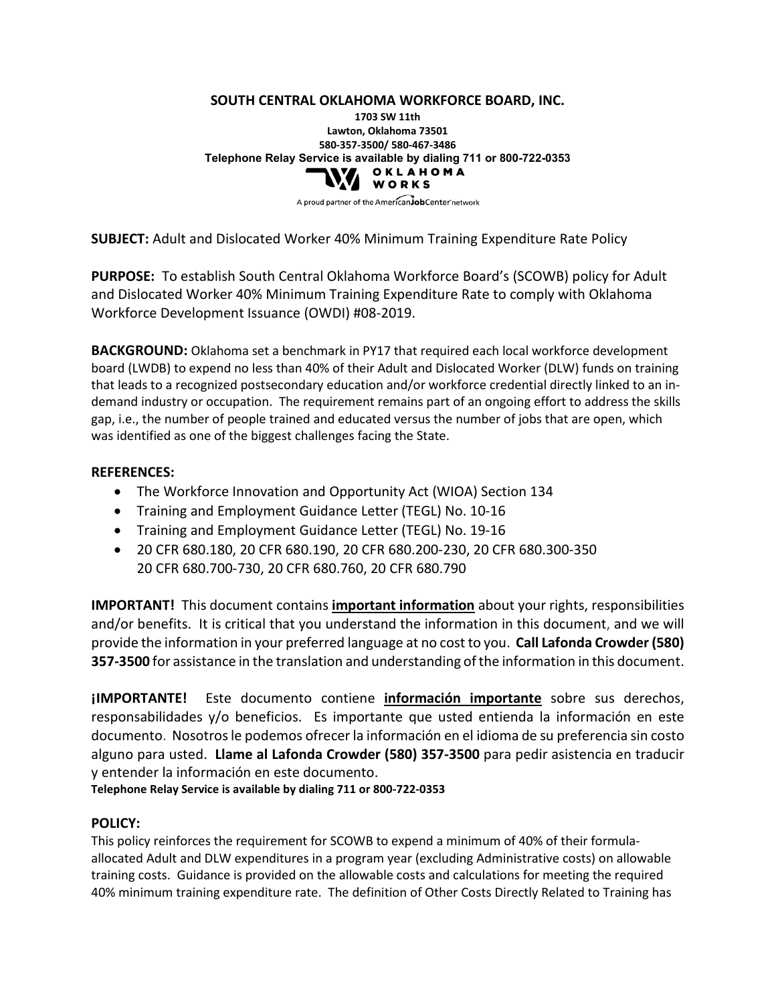**SOUTH CENTRAL OKLAHOMA WORKFORCE BOARD, INC. 1703 SW 11th Lawton, Oklahoma 73501 580-357-3500/ 580-467-3486 Telephone Relay Service is available by dialing 711 or 800-722-0353**<br> **O K L A H O M A**<br> **W O R K S** WORKS

A proud partner of the AmericanJobCenter network

**SUBJECT:** Adult and Dislocated Worker 40% Minimum Training Expenditure Rate Policy

**PURPOSE:** To establish South Central Oklahoma Workforce Board's (SCOWB) policy for Adult and Dislocated Worker 40% Minimum Training Expenditure Rate to comply with Oklahoma Workforce Development Issuance (OWDI) #08-2019.

**BACKGROUND:** Oklahoma set a benchmark in PY17 that required each local workforce development board (LWDB) to expend no less than 40% of their Adult and Dislocated Worker (DLW) funds on training that leads to a recognized postsecondary education and/or workforce credential directly linked to an indemand industry or occupation. The requirement remains part of an ongoing effort to address the skills gap, i.e., the number of people trained and educated versus the number of jobs that are open, which was identified as one of the biggest challenges facing the State.

#### **REFERENCES:**

- The Workforce Innovation and Opportunity Act (WIOA) Section 134
- Training and Employment Guidance Letter (TEGL) No. 10-16
- Training and Employment Guidance Letter (TEGL) No. 19-16
- 20 CFR 680.180, 20 CFR 680.190, 20 CFR 680.200-230, 20 CFR 680.300-350 20 CFR 680.700-730, 20 CFR 680.760, 20 CFR 680.790

**IMPORTANT!** This document contains **important information** about your rights, responsibilities and/or benefits. It is critical that you understand the information in this document, and we will provide the information in your preferred language at no cost to you. **Call Lafonda Crowder (580) 357-3500** for assistance in the translation and understanding of the information in this document.

**¡IMPORTANTE!** Este documento contiene **información importante** sobre sus derechos, responsabilidades y/o beneficios. Es importante que usted entienda la información en este documento. Nosotros le podemos ofrecer la información en el idioma de su preferencia sin costo alguno para usted. **Llame al Lafonda Crowder (580) 357-3500** para pedir asistencia en traducir y entender la información en este documento.

**Telephone Relay Service is available by dialing 711 or 800-722-0353**

### **POLICY:**

This policy reinforces the requirement for SCOWB to expend a minimum of 40% of their formulaallocated Adult and DLW expenditures in a program year (excluding Administrative costs) on allowable training costs. Guidance is provided on the allowable costs and calculations for meeting the required 40% minimum training expenditure rate. The definition of Other Costs Directly Related to Training has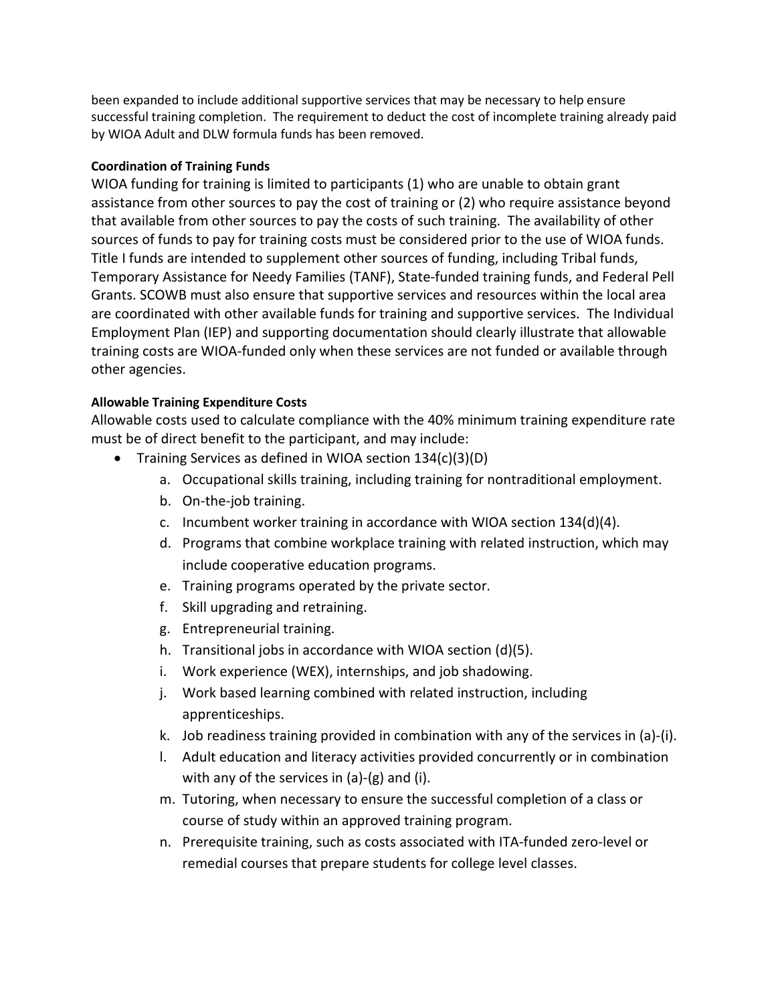been expanded to include additional supportive services that may be necessary to help ensure successful training completion. The requirement to deduct the cost of incomplete training already paid by WIOA Adult and DLW formula funds has been removed.

#### **Coordination of Training Funds**

WIOA funding for training is limited to participants (1) who are unable to obtain grant assistance from other sources to pay the cost of training or (2) who require assistance beyond that available from other sources to pay the costs of such training. The availability of other sources of funds to pay for training costs must be considered prior to the use of WIOA funds. Title I funds are intended to supplement other sources of funding, including Tribal funds, Temporary Assistance for Needy Families (TANF), State-funded training funds, and Federal Pell Grants. SCOWB must also ensure that supportive services and resources within the local area are coordinated with other available funds for training and supportive services. The Individual Employment Plan (IEP) and supporting documentation should clearly illustrate that allowable training costs are WIOA-funded only when these services are not funded or available through other agencies.

#### **Allowable Training Expenditure Costs**

Allowable costs used to calculate compliance with the 40% minimum training expenditure rate must be of direct benefit to the participant, and may include:

- Training Services as defined in WIOA section 134(c)(3)(D)
	- a. Occupational skills training, including training for nontraditional employment.
	- b. On-the-job training.
	- c. Incumbent worker training in accordance with WIOA section 134(d)(4).
	- d. Programs that combine workplace training with related instruction, which may include cooperative education programs.
	- e. Training programs operated by the private sector.
	- f. Skill upgrading and retraining.
	- g. Entrepreneurial training.
	- h. Transitional jobs in accordance with WIOA section (d)(5).
	- i. Work experience (WEX), internships, and job shadowing.
	- j. Work based learning combined with related instruction, including apprenticeships.
	- k. Job readiness training provided in combination with any of the services in (a)-(i).
	- l. Adult education and literacy activities provided concurrently or in combination with any of the services in (a)-(g) and (i).
	- m. Tutoring, when necessary to ensure the successful completion of a class or course of study within an approved training program.
	- n. Prerequisite training, such as costs associated with ITA-funded zero-level or remedial courses that prepare students for college level classes.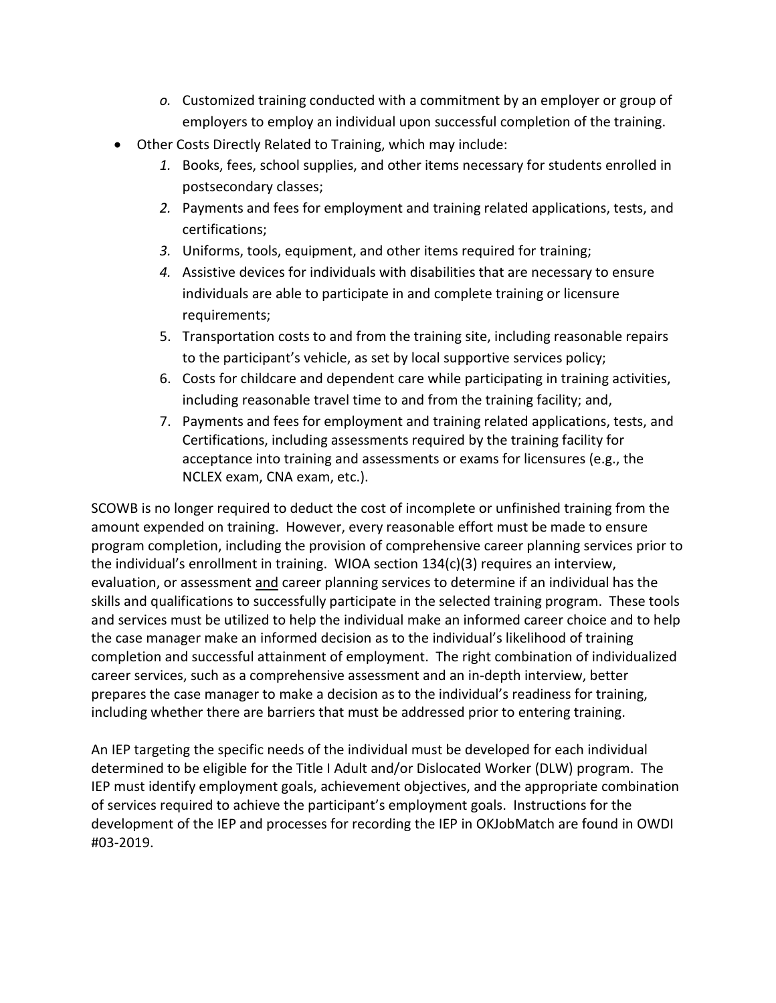- *o.* Customized training conducted with a commitment by an employer or group of employers to employ an individual upon successful completion of the training.
- Other Costs Directly Related to Training, which may include:
	- *1.* Books, fees, school supplies, and other items necessary for students enrolled in postsecondary classes;
	- *2.* Payments and fees for employment and training related applications, tests, and certifications;
	- *3.* Uniforms, tools, equipment, and other items required for training;
	- *4.* Assistive devices for individuals with disabilities that are necessary to ensure individuals are able to participate in and complete training or licensure requirements;
	- 5. Transportation costs to and from the training site, including reasonable repairs to the participant's vehicle, as set by local supportive services policy;
	- 6. Costs for childcare and dependent care while participating in training activities, including reasonable travel time to and from the training facility; and,
	- 7. Payments and fees for employment and training related applications, tests, and Certifications, including assessments required by the training facility for acceptance into training and assessments or exams for licensures (e.g., the NCLEX exam, CNA exam, etc.).

SCOWB is no longer required to deduct the cost of incomplete or unfinished training from the amount expended on training. However, every reasonable effort must be made to ensure program completion, including the provision of comprehensive career planning services prior to the individual's enrollment in training. WIOA section 134(c)(3) requires an interview, evaluation, or assessment and career planning services to determine if an individual has the skills and qualifications to successfully participate in the selected training program. These tools and services must be utilized to help the individual make an informed career choice and to help the case manager make an informed decision as to the individual's likelihood of training completion and successful attainment of employment. The right combination of individualized career services, such as a comprehensive assessment and an in-depth interview, better prepares the case manager to make a decision as to the individual's readiness for training, including whether there are barriers that must be addressed prior to entering training.

An IEP targeting the specific needs of the individual must be developed for each individual determined to be eligible for the Title I Adult and/or Dislocated Worker (DLW) program. The IEP must identify employment goals, achievement objectives, and the appropriate combination of services required to achieve the participant's employment goals. Instructions for the development of the IEP and processes for recording the IEP in OKJobMatch are found in OWDI #03-2019.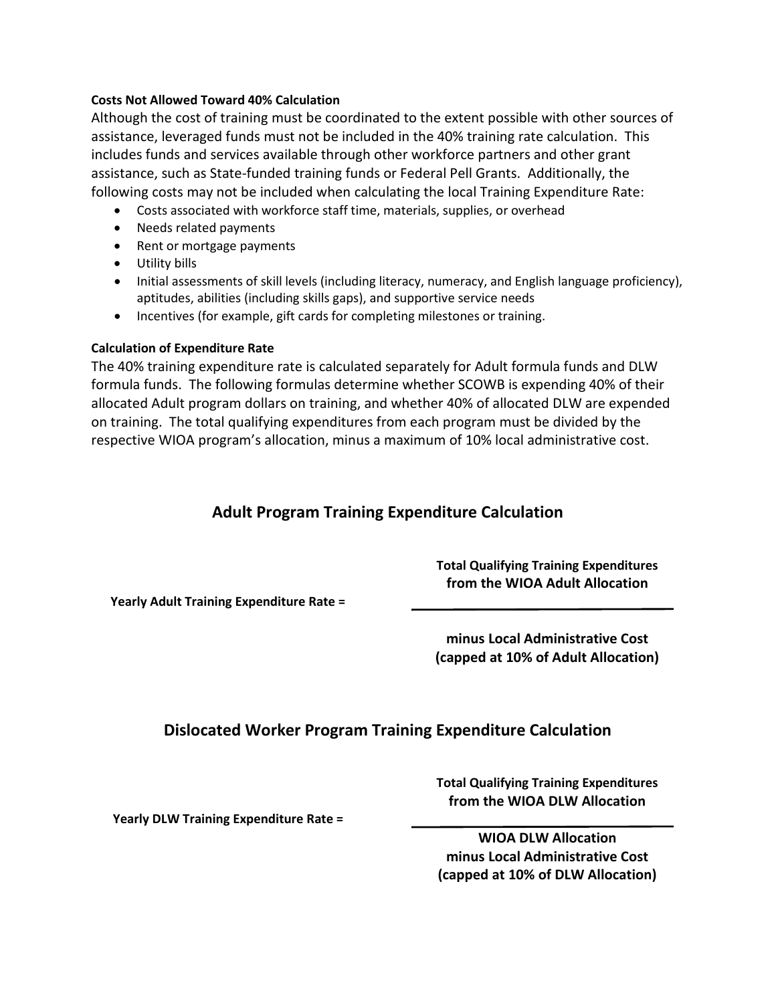#### **Costs Not Allowed Toward 40% Calculation**

Although the cost of training must be coordinated to the extent possible with other sources of assistance, leveraged funds must not be included in the 40% training rate calculation. This includes funds and services available through other workforce partners and other grant assistance, such as State-funded training funds or Federal Pell Grants. Additionally, the following costs may not be included when calculating the local Training Expenditure Rate:

- Costs associated with workforce staff time, materials, supplies, or overhead
- Needs related payments
- Rent or mortgage payments
- Utility bills
- Initial assessments of skill levels (including literacy, numeracy, and English language proficiency), aptitudes, abilities (including skills gaps), and supportive service needs
- Incentives (for example, gift cards for completing milestones or training.

### **Calculation of Expenditure Rate**

The 40% training expenditure rate is calculated separately for Adult formula funds and DLW formula funds. The following formulas determine whether SCOWB is expending 40% of their allocated Adult program dollars on training, and whether 40% of allocated DLW are expended on training. The total qualifying expenditures from each program must be divided by the respective WIOA program's allocation, minus a maximum of 10% local administrative cost.

# **Adult Program Training Expenditure Calculation**

**Total Qualifying Training Expenditures from the WIOA Adult Allocation**

**Yearly Adult Training Expenditure Rate =**

**minus Local Administrative Cost (capped at 10% of Adult Allocation)**

# **Dislocated Worker Program Training Expenditure Calculation**

**Total Qualifying Training Expenditures from the WIOA DLW Allocation**

**Yearly DLW Training Expenditure Rate =**

**WIOA DLW Allocation minus Local Administrative Cost (capped at 10% of DLW Allocation)**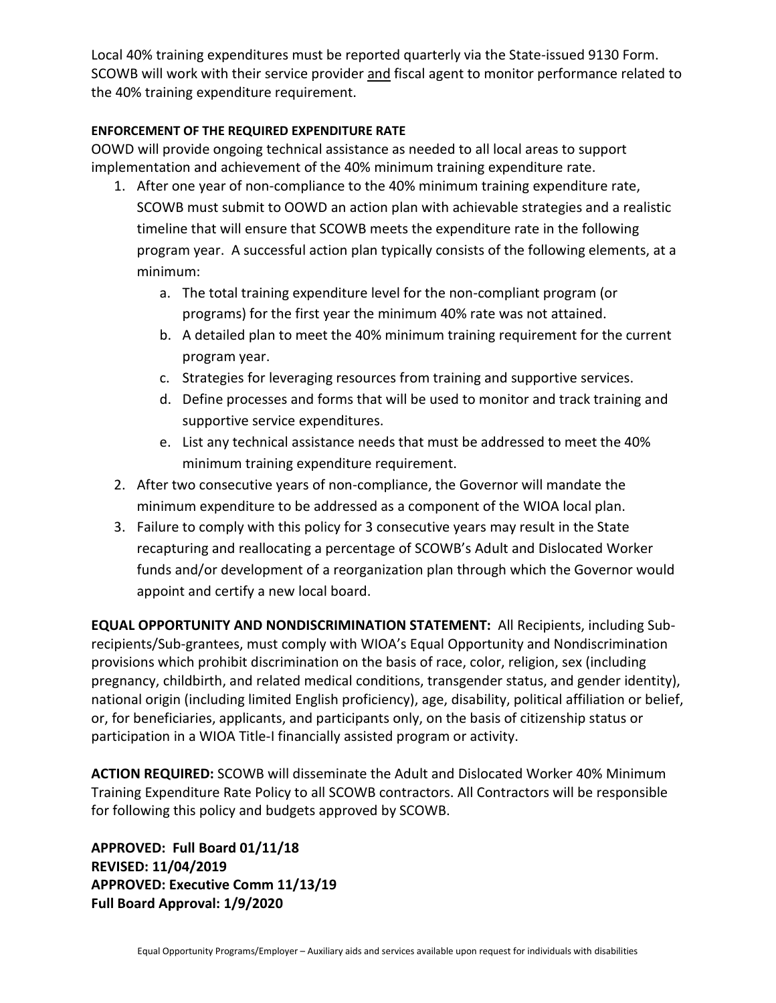Local 40% training expenditures must be reported quarterly via the State-issued 9130 Form. SCOWB will work with their service provider and fiscal agent to monitor performance related to the 40% training expenditure requirement.

## **ENFORCEMENT OF THE REQUIRED EXPENDITURE RATE**

OOWD will provide ongoing technical assistance as needed to all local areas to support implementation and achievement of the 40% minimum training expenditure rate.

- 1. After one year of non-compliance to the 40% minimum training expenditure rate, SCOWB must submit to OOWD an action plan with achievable strategies and a realistic timeline that will ensure that SCOWB meets the expenditure rate in the following program year. A successful action plan typically consists of the following elements, at a minimum:
	- a. The total training expenditure level for the non-compliant program (or programs) for the first year the minimum 40% rate was not attained.
	- b. A detailed plan to meet the 40% minimum training requirement for the current program year.
	- c. Strategies for leveraging resources from training and supportive services.
	- d. Define processes and forms that will be used to monitor and track training and supportive service expenditures.
	- e. List any technical assistance needs that must be addressed to meet the 40% minimum training expenditure requirement.
- 2. After two consecutive years of non-compliance, the Governor will mandate the minimum expenditure to be addressed as a component of the WIOA local plan.
- 3. Failure to comply with this policy for 3 consecutive years may result in the State recapturing and reallocating a percentage of SCOWB's Adult and Dislocated Worker funds and/or development of a reorganization plan through which the Governor would appoint and certify a new local board.

**EQUAL OPPORTUNITY AND NONDISCRIMINATION STATEMENT:** All Recipients, including Subrecipients/Sub-grantees, must comply with WIOA's Equal Opportunity and Nondiscrimination provisions which prohibit discrimination on the basis of race, color, religion, sex (including pregnancy, childbirth, and related medical conditions, transgender status, and gender identity), national origin (including limited English proficiency), age, disability, political affiliation or belief, or, for beneficiaries, applicants, and participants only, on the basis of citizenship status or participation in a WIOA Title-I financially assisted program or activity.

**ACTION REQUIRED:** SCOWB will disseminate the Adult and Dislocated Worker 40% Minimum Training Expenditure Rate Policy to all SCOWB contractors. All Contractors will be responsible for following this policy and budgets approved by SCOWB.

**APPROVED: Full Board 01/11/18 REVISED: 11/04/2019 APPROVED: Executive Comm 11/13/19 Full Board Approval: 1/9/2020**